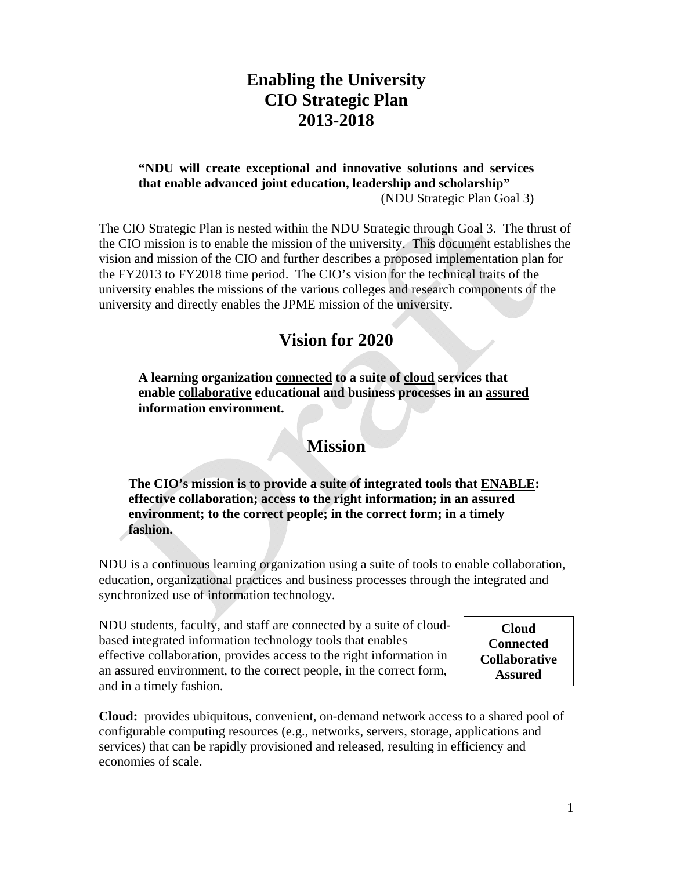## **Enabling the University CIO Strategic Plan 2013-2018**

#### **"NDU will create exceptional and innovative solutions and services that enable advanced joint education, leadership and scholarship"**  (NDU Strategic Plan Goal 3)

The CIO Strategic Plan is nested within the NDU Strategic through Goal 3. The thrust of the CIO mission is to enable the mission of the university. This document establishes the vision and mission of the CIO and further describes a proposed implementation plan for the FY2013 to FY2018 time period. The CIO's vision for the technical traits of the university enables the missions of the various colleges and research components of the university and directly enables the JPME mission of the university.

### **Vision for 2020**

**A learning organization connected to a suite of cloud services that enable collaborative educational and business processes in an assured information environment.** 

#### **Mission**

**The CIO's mission is to provide a suite of integrated tools that ENABLE: effective collaboration; access to the right information; in an assured environment; to the correct people; in the correct form; in a timely fashion.** 

NDU is a continuous learning organization using a suite of tools to enable collaboration, education, organizational practices and business processes through the integrated and synchronized use of information technology.

NDU students, faculty, and staff are connected by a suite of cloudbased integrated information technology tools that enables effective collaboration, provides access to the right information in an assured environment, to the correct people, in the correct form, and in a timely fashion.

**Cloud Connected Collaborative Assured** 

**Cloud:** provides ubiquitous, convenient, on-demand network access to a shared pool of configurable computing resources (e.g., networks, servers, storage, applications and services) that can be rapidly provisioned and released, resulting in efficiency and economies of scale.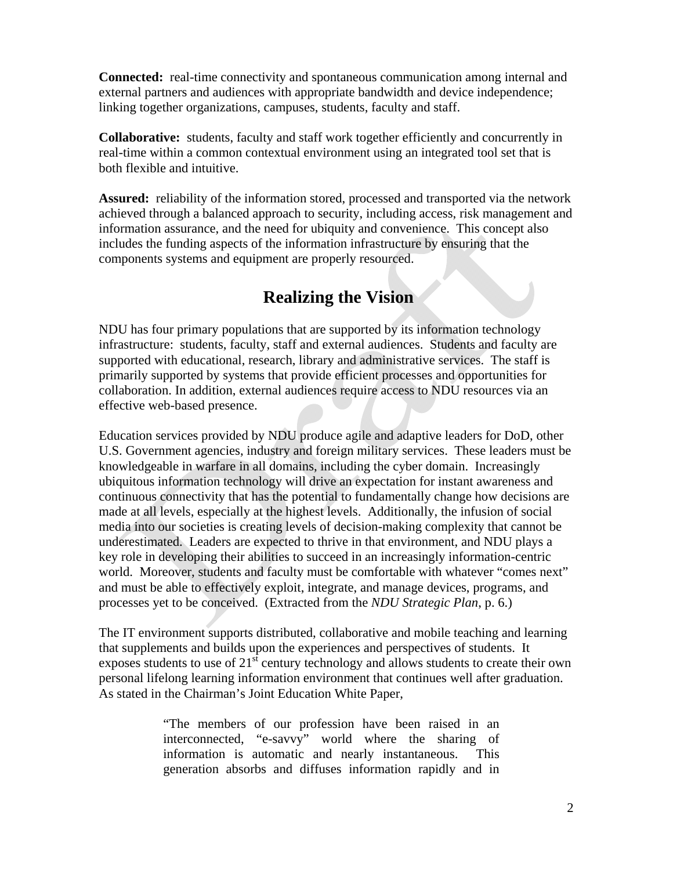**Connected:** real-time connectivity and spontaneous communication among internal and external partners and audiences with appropriate bandwidth and device independence; linking together organizations, campuses, students, faculty and staff.

**Collaborative:** students, faculty and staff work together efficiently and concurrently in real-time within a common contextual environment using an integrated tool set that is both flexible and intuitive.

**Assured:** reliability of the information stored, processed and transported via the network achieved through a balanced approach to security, including access, risk management and information assurance, and the need for ubiquity and convenience. This concept also includes the funding aspects of the information infrastructure by ensuring that the components systems and equipment are properly resourced.

# **Realizing the Vision**

NDU has four primary populations that are supported by its information technology infrastructure: students, faculty, staff and external audiences. Students and faculty are supported with educational, research, library and administrative services. The staff is primarily supported by systems that provide efficient processes and opportunities for collaboration. In addition, external audiences require access to NDU resources via an effective web-based presence.

Education services provided by NDU produce agile and adaptive leaders for DoD, other U.S. Government agencies, industry and foreign military services. These leaders must be knowledgeable in warfare in all domains, including the cyber domain. Increasingly ubiquitous information technology will drive an expectation for instant awareness and continuous connectivity that has the potential to fundamentally change how decisions are made at all levels, especially at the highest levels. Additionally, the infusion of social media into our societies is creating levels of decision-making complexity that cannot be underestimated. Leaders are expected to thrive in that environment, and NDU plays a key role in developing their abilities to succeed in an increasingly information-centric world. Moreover, students and faculty must be comfortable with whatever "comes next" and must be able to effectively exploit, integrate, and manage devices, programs, and processes yet to be conceived. (Extracted from the *NDU Strategic Plan*, p. 6.)

The IT environment supports distributed, collaborative and mobile teaching and learning that supplements and builds upon the experiences and perspectives of students. It exposes students to use of  $21<sup>st</sup>$  century technology and allows students to create their own personal lifelong learning information environment that continues well after graduation. As stated in the Chairman's Joint Education White Paper,

> "The members of our profession have been raised in an interconnected, "e-savvy" world where the sharing of information is automatic and nearly instantaneous. This generation absorbs and diffuses information rapidly and in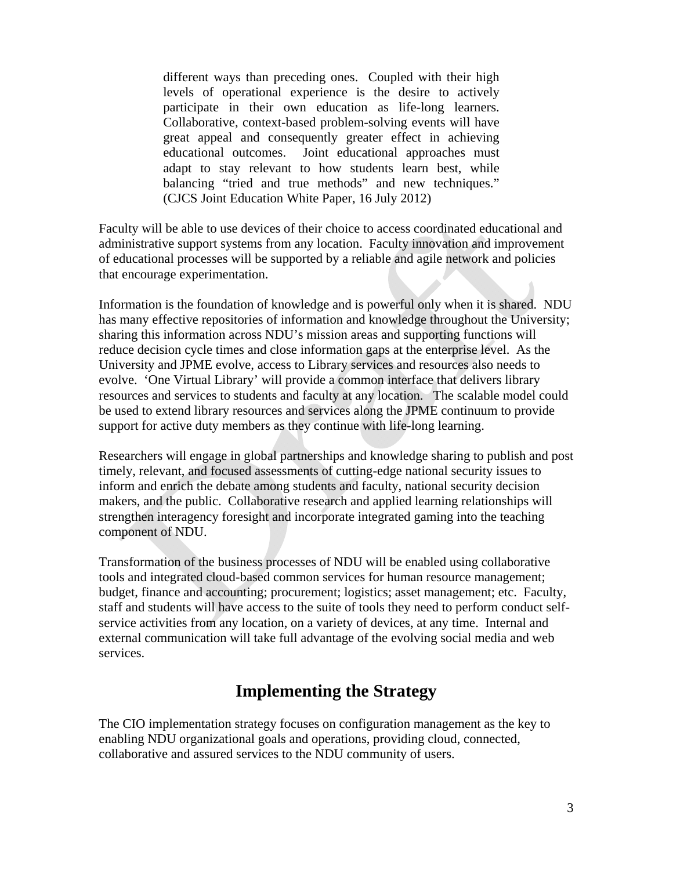different ways than preceding ones. Coupled with their high levels of operational experience is the desire to actively participate in their own education as life-long learners. Collaborative, context-based problem-solving events will have great appeal and consequently greater effect in achieving educational outcomes. Joint educational approaches must adapt to stay relevant to how students learn best, while balancing "tried and true methods" and new techniques." (CJCS Joint Education White Paper, 16 July 2012)

Faculty will be able to use devices of their choice to access coordinated educational and administrative support systems from any location. Faculty innovation and improvement of educational processes will be supported by a reliable and agile network and policies that encourage experimentation.

Information is the foundation of knowledge and is powerful only when it is shared. NDU has many effective repositories of information and knowledge throughout the University; sharing this information across NDU's mission areas and supporting functions will reduce decision cycle times and close information gaps at the enterprise level. As the University and JPME evolve, access to Library services and resources also needs to evolve. 'One Virtual Library' will provide a common interface that delivers library resources and services to students and faculty at any location. The scalable model could be used to extend library resources and services along the JPME continuum to provide support for active duty members as they continue with life-long learning.

Researchers will engage in global partnerships and knowledge sharing to publish and post timely, relevant, and focused assessments of cutting-edge national security issues to inform and enrich the debate among students and faculty, national security decision makers, and the public. Collaborative research and applied learning relationships will strengthen interagency foresight and incorporate integrated gaming into the teaching component of NDU.

Transformation of the business processes of NDU will be enabled using collaborative tools and integrated cloud-based common services for human resource management; budget, finance and accounting; procurement; logistics; asset management; etc. Faculty, staff and students will have access to the suite of tools they need to perform conduct selfservice activities from any location, on a variety of devices, at any time. Internal and external communication will take full advantage of the evolving social media and web services.

## **Implementing the Strategy**

The CIO implementation strategy focuses on configuration management as the key to enabling NDU organizational goals and operations, providing cloud, connected, collaborative and assured services to the NDU community of users.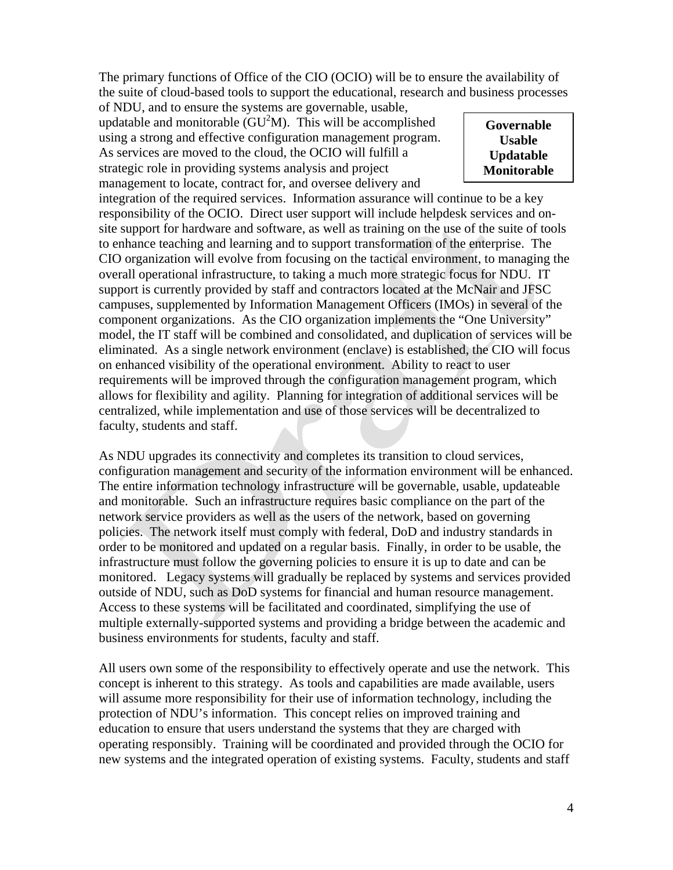The primary functions of Office of the CIO (OCIO) will be to ensure the availability of the suite of cloud-based tools to support the educational, research and business processes

of NDU, and to ensure the systems are governable, usable, updatable and monitorable  $(GU^2M)$ . This will be accomplished using a strong and effective configuration management program. As services are moved to the cloud, the OCIO will fulfill a strategic role in providing systems analysis and project management to locate, contract for, and oversee delivery and

**Governable Usable Updatable Monitorable** 

integration of the required services. Information assurance will continue to be a key responsibility of the OCIO. Direct user support will include helpdesk services and onsite support for hardware and software, as well as training on the use of the suite of tools to enhance teaching and learning and to support transformation of the enterprise. The CIO organization will evolve from focusing on the tactical environment, to managing the overall operational infrastructure, to taking a much more strategic focus for NDU. IT support is currently provided by staff and contractors located at the McNair and JFSC campuses, supplemented by Information Management Officers (IMOs) in several of the component organizations. As the CIO organization implements the "One University" model, the IT staff will be combined and consolidated, and duplication of services will be eliminated. As a single network environment (enclave) is established, the CIO will focus on enhanced visibility of the operational environment. Ability to react to user requirements will be improved through the configuration management program, which allows for flexibility and agility. Planning for integration of additional services will be centralized, while implementation and use of those services will be decentralized to faculty, students and staff.

As NDU upgrades its connectivity and completes its transition to cloud services, configuration management and security of the information environment will be enhanced. The entire information technology infrastructure will be governable, usable, updateable and monitorable. Such an infrastructure requires basic compliance on the part of the network service providers as well as the users of the network, based on governing policies. The network itself must comply with federal, DoD and industry standards in order to be monitored and updated on a regular basis. Finally, in order to be usable, the infrastructure must follow the governing policies to ensure it is up to date and can be monitored. Legacy systems will gradually be replaced by systems and services provided outside of NDU, such as DoD systems for financial and human resource management. Access to these systems will be facilitated and coordinated, simplifying the use of multiple externally-supported systems and providing a bridge between the academic and business environments for students, faculty and staff.

All users own some of the responsibility to effectively operate and use the network. This concept is inherent to this strategy. As tools and capabilities are made available, users will assume more responsibility for their use of information technology, including the protection of NDU's information. This concept relies on improved training and education to ensure that users understand the systems that they are charged with operating responsibly. Training will be coordinated and provided through the OCIO for new systems and the integrated operation of existing systems. Faculty, students and staff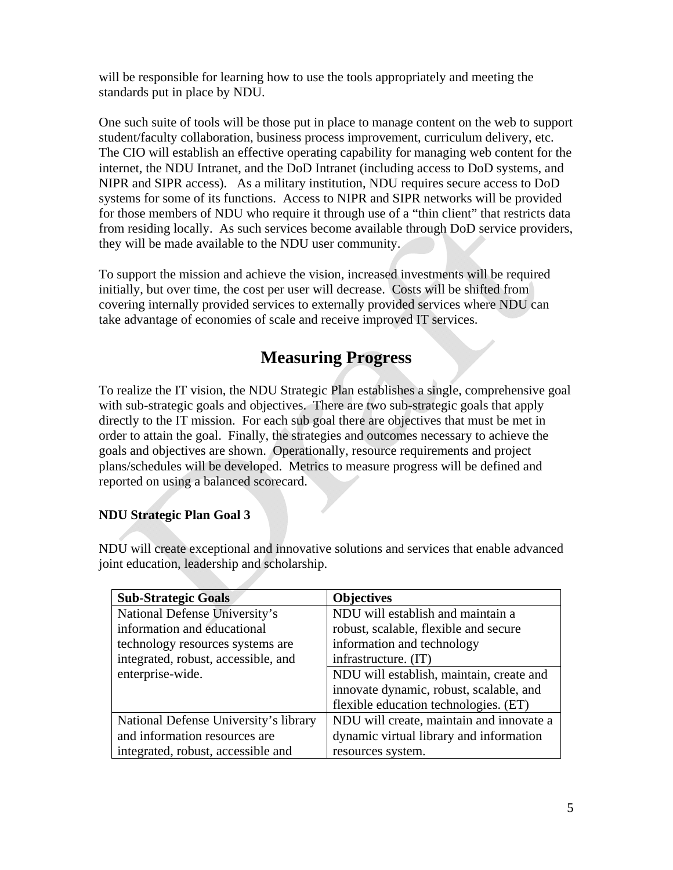will be responsible for learning how to use the tools appropriately and meeting the standards put in place by NDU.

One such suite of tools will be those put in place to manage content on the web to support student/faculty collaboration, business process improvement, curriculum delivery, etc. The CIO will establish an effective operating capability for managing web content for the internet, the NDU Intranet, and the DoD Intranet (including access to DoD systems, and NIPR and SIPR access). As a military institution, NDU requires secure access to DoD systems for some of its functions. Access to NIPR and SIPR networks will be provided for those members of NDU who require it through use of a "thin client" that restricts data from residing locally. As such services become available through DoD service providers, they will be made available to the NDU user community.

To support the mission and achieve the vision, increased investments will be required initially, but over time, the cost per user will decrease. Costs will be shifted from covering internally provided services to externally provided services where NDU can take advantage of economies of scale and receive improved IT services.

# **Measuring Progress**

To realize the IT vision, the NDU Strategic Plan establishes a single, comprehensive goal with sub-strategic goals and objectives. There are two sub-strategic goals that apply directly to the IT mission. For each sub goal there are objectives that must be met in order to attain the goal. Finally, the strategies and outcomes necessary to achieve the goals and objectives are shown. Operationally, resource requirements and project plans/schedules will be developed. Metrics to measure progress will be defined and reported on using a balanced scorecard.

#### **NDU Strategic Plan Goal 3**

NDU will create exceptional and innovative solutions and services that enable advanced joint education, leadership and scholarship.

| <b>Sub-Strategic Goals</b>            | <b>Objectives</b>                        |
|---------------------------------------|------------------------------------------|
| National Defense University's         | NDU will establish and maintain a        |
| information and educational           | robust, scalable, flexible and secure    |
| technology resources systems are      | information and technology               |
| integrated, robust, accessible, and   | infrastructure. (IT)                     |
| enterprise-wide.                      | NDU will establish, maintain, create and |
|                                       | innovate dynamic, robust, scalable, and  |
|                                       | flexible education technologies. (ET)    |
| National Defense University's library | NDU will create, maintain and innovate a |
| and information resources are         | dynamic virtual library and information  |
| integrated, robust, accessible and    | resources system.                        |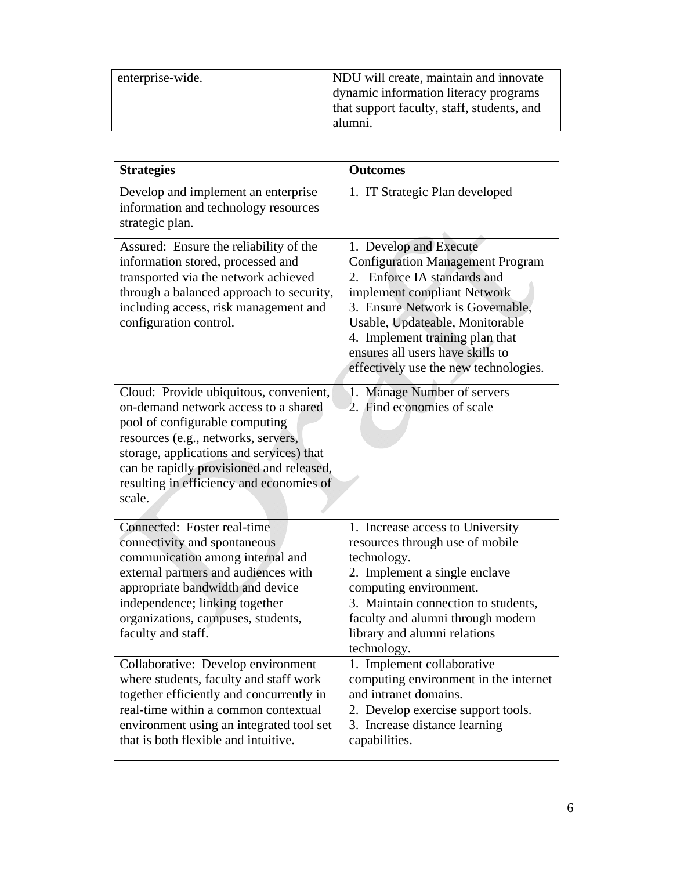| enterprise-wide. | NDU will create, maintain and innovate     |
|------------------|--------------------------------------------|
|                  |                                            |
|                  | dynamic information literacy programs      |
|                  | that support faculty, staff, students, and |
|                  | alumni.                                    |

| <b>Strategies</b>                                                                                                                                                                                                                                                                                     | <b>Outcomes</b>                                                                                                                                                                                                                                                                                                        |
|-------------------------------------------------------------------------------------------------------------------------------------------------------------------------------------------------------------------------------------------------------------------------------------------------------|------------------------------------------------------------------------------------------------------------------------------------------------------------------------------------------------------------------------------------------------------------------------------------------------------------------------|
| Develop and implement an enterprise<br>information and technology resources<br>strategic plan.                                                                                                                                                                                                        | 1. IT Strategic Plan developed                                                                                                                                                                                                                                                                                         |
| Assured: Ensure the reliability of the<br>information stored, processed and<br>transported via the network achieved<br>through a balanced approach to security,<br>including access, risk management and<br>configuration control.                                                                    | 1. Develop and Execute<br><b>Configuration Management Program</b><br>2. Enforce IA standards and<br>implement compliant Network<br>3. Ensure Network is Governable,<br>Usable, Updateable, Monitorable<br>4. Implement training plan that<br>ensures all users have skills to<br>effectively use the new technologies. |
| Cloud: Provide ubiquitous, convenient,<br>on-demand network access to a shared<br>pool of configurable computing<br>resources (e.g., networks, servers,<br>storage, applications and services) that<br>can be rapidly provisioned and released,<br>resulting in efficiency and economies of<br>scale. | 1. Manage Number of servers<br>2. Find economies of scale                                                                                                                                                                                                                                                              |
| Connected: Foster real-time<br>connectivity and spontaneous<br>communication among internal and<br>external partners and audiences with<br>appropriate bandwidth and device<br>independence; linking together<br>organizations, campuses, students,<br>faculty and staff.                             | 1. Increase access to University<br>resources through use of mobile<br>technology.<br>2. Implement a single enclave<br>computing environment.<br>3. Maintain connection to students,<br>faculty and alumni through modern<br>library and alumni relations<br>technology.                                               |
| Collaborative: Develop environment<br>where students, faculty and staff work<br>together efficiently and concurrently in<br>real-time within a common contextual<br>environment using an integrated tool set<br>that is both flexible and intuitive.                                                  | 1. Implement collaborative<br>computing environment in the internet<br>and intranet domains.<br>2. Develop exercise support tools.<br>3. Increase distance learning<br>capabilities.                                                                                                                                   |